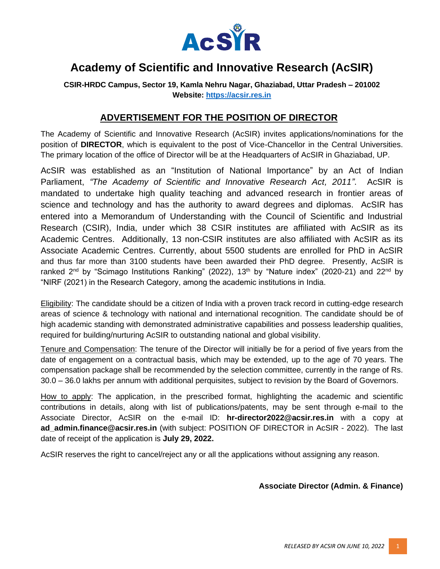

## **Academy of Scientific and Innovative Research (AcSIR)**

**CSIR-HRDC Campus, Sector 19, Kamla Nehru Nagar, Ghaziabad, Uttar Pradesh – 201002 Website: [https://acsir.res.in](https://acsir.res.in/)**

## **ADVERTISEMENT FOR THE POSITION OF DIRECTOR**

The Academy of Scientific and Innovative Research (AcSIR) invites applications/nominations for the position of **DIRECTOR**, which is equivalent to the post of Vice-Chancellor in the Central Universities. The primary location of the office of Director will be at the Headquarters of AcSIR in Ghaziabad, UP.

AcSIR was established as an "Institution of National Importance" by an Act of Indian Parliament, *"The Academy of Scientific and Innovative Research Act, 2011"*. AcSIR is mandated to undertake high quality teaching and advanced research in frontier areas of science and technology and has the authority to award degrees and diplomas. AcSIR has entered into a Memorandum of Understanding with the Council of Scientific and Industrial Research (CSIR), India, under which 38 CSIR institutes are affiliated with AcSIR as its Academic Centres. Additionally, 13 non-CSIR institutes are also affiliated with AcSIR as its Associate Academic Centres. Currently, about 5500 students are enrolled for PhD in AcSIR and thus far more than 3100 students have been awarded their PhD degree. Presently, AcSIR is ranked 2<sup>nd</sup> by "Scimago Institutions Ranking" (2022), 13<sup>th</sup> by "Nature index" (2020-21) and 22<sup>nd</sup> by "NIRF (2021) in the Research Category, among the academic institutions in India.

Eligibility: The candidate should be a citizen of India with a proven track record in cutting-edge research areas of science & technology with national and international recognition. The candidate should be of high academic standing with demonstrated administrative capabilities and possess leadership qualities, required for building/nurturing AcSIR to outstanding national and global visibility.

Tenure and Compensation: The tenure of the Director will initially be for a period of five years from the date of engagement on a contractual basis, which may be extended, up to the age of 70 years. The compensation package shall be recommended by the selection committee, currently in the range of Rs. 30.0 – 36.0 lakhs per annum with additional perquisites, subject to revision by the Board of Governors.

How to apply: The application, in the prescribed format, highlighting the academic and scientific contributions in details, along with list of publications/patents, may be sent through e-mail to the Associate Director, AcSIR on the e-mail ID: **hr-director2022@acsir.res.in** with a copy at **ad\_admin.finance@acsir.res.in** (with subject: POSITION OF DIRECTOR in AcSIR - 2022). The last date of receipt of the application is **July 29, 2022.**

AcSIR reserves the right to cancel/reject any or all the applications without assigning any reason.

## **Associate Director (Admin. & Finance)**